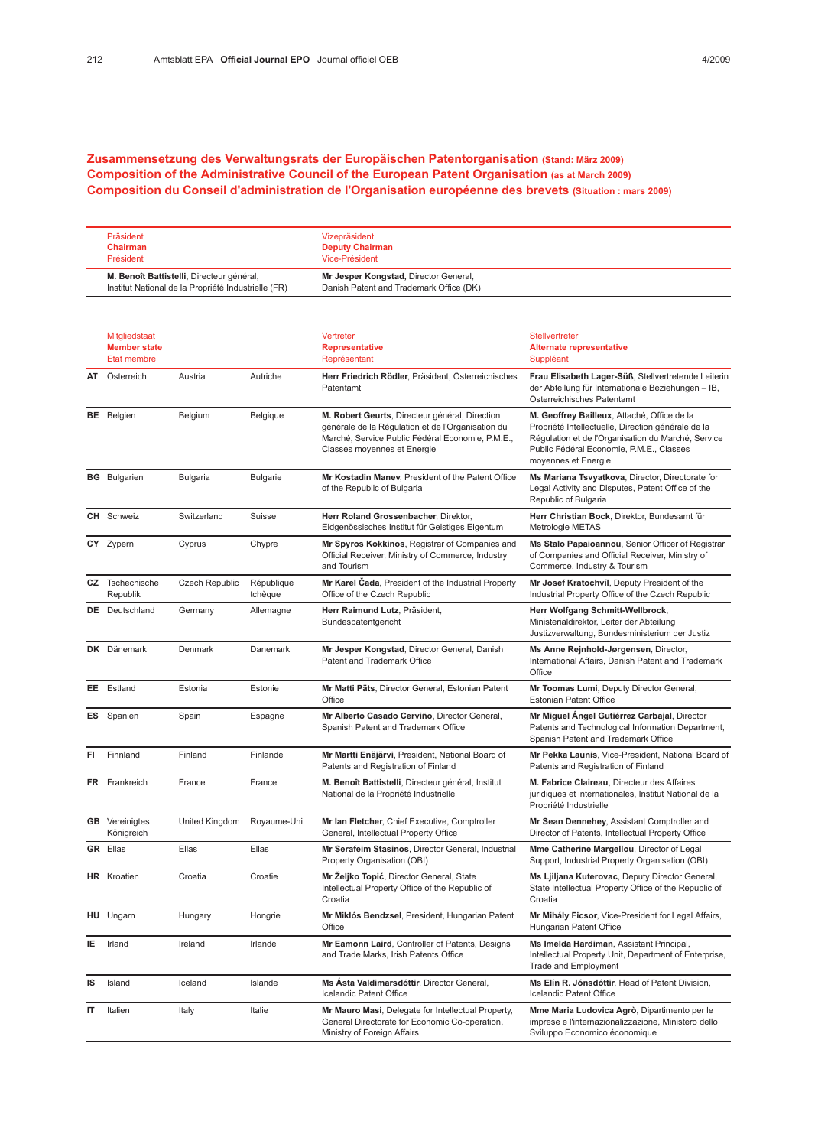## Zusammensetzung des Verwaltungsrats der Europäischen Patentorganisation (Stand: März 2009) Composition of the Administrative Council of the European Patent Organisation (as at March 2009) Composition du Conseil d'administration de l'Organisation européenne des brevets (Situation : mars 2009)

| Präsident                                           | Vizepräsident                           |
|-----------------------------------------------------|-----------------------------------------|
| Chairman                                            | <b>Deputy Chairman</b>                  |
| Président                                           | Vice-Président                          |
| M. Benoît Battistelli, Directeur général,           | Mr Jesper Kongstad, Director General,   |
| Institut National de la Propriété Industrielle (FR) | Danish Patent and Trademark Office (DK) |

|    | Mitgliedstaat<br><b>Member state</b><br>Etat membre |                 |                       | Vertreter<br><b>Representative</b><br>Représentant                                                                                                                                     | Stellvertreter<br><b>Alternate representative</b><br>Suppléant                                                                                                                                                             |
|----|-----------------------------------------------------|-----------------|-----------------------|----------------------------------------------------------------------------------------------------------------------------------------------------------------------------------------|----------------------------------------------------------------------------------------------------------------------------------------------------------------------------------------------------------------------------|
| AT | Österreich                                          | Austria         | Autriche              | Herr Friedrich Rödler, Präsident, Österreichisches<br>Patentamt                                                                                                                        | Frau Elisabeth Lager-Süß, Stellvertretende Leiterin<br>der Abteilung für Internationale Beziehungen - IB,<br>Österreichisches Patentamt                                                                                    |
|    | <b>BE</b> Belgien                                   | Belgium         | Belgique              | M. Robert Geurts, Directeur général, Direction<br>générale de la Régulation et de l'Organisation du<br>Marché, Service Public Fédéral Economie, P.M.E.,<br>Classes moyennes et Energie | M. Geoffrey Bailleux, Attaché, Office de la<br>Propriété Intellectuelle, Direction générale de la<br>Régulation et de l'Organisation du Marché, Service<br>Public Fédéral Economie, P.M.E., Classes<br>moyennes et Energie |
|    | <b>BG</b> Bulgarien                                 | <b>Bulgaria</b> | <b>Bulgarie</b>       | Mr Kostadin Maney, President of the Patent Office<br>of the Republic of Bulgaria                                                                                                       | Ms Mariana Tsvyatkova, Director, Directorate for<br>Legal Activity and Disputes, Patent Office of the<br>Republic of Bulgaria                                                                                              |
|    | <b>CH</b> Schweiz                                   | Switzerland     | Suisse                | Herr Roland Grossenbacher, Direktor,<br>Eidgenössisches Institut für Geistiges Eigentum                                                                                                | Herr Christian Bock, Direktor, Bundesamt für<br>Metrologie METAS                                                                                                                                                           |
|    | CY Zypern                                           | Cyprus          | Chypre                | Mr Spyros Kokkinos, Registrar of Companies and<br>Official Receiver, Ministry of Commerce, Industry<br>and Tourism                                                                     | Ms Stalo Papaioannou, Senior Officer of Registrar<br>of Companies and Official Receiver, Ministry of<br>Commerce, Industry & Tourism                                                                                       |
|    | CZ Tschechische<br>Republik                         | Czech Republic  | République<br>tchèque | Mr Karel Čada, President of the Industrial Property<br>Office of the Czech Republic                                                                                                    | Mr Josef Kratochvíl, Deputy President of the<br>Industrial Property Office of the Czech Republic                                                                                                                           |
|    | <b>DE</b> Deutschland                               | Germany         | Allemagne             | Herr Raimund Lutz, Präsident,<br>Bundespatentgericht                                                                                                                                   | Herr Wolfgang Schmitt-Wellbrock,<br>Ministerialdirektor, Leiter der Abteilung<br>Justizverwaltung, Bundesministerium der Justiz                                                                                            |
|    | DK Dänemark                                         | Denmark         | Danemark              | Mr Jesper Kongstad, Director General, Danish<br>Patent and Trademark Office                                                                                                            | Ms Anne Rejnhold-Jørgensen, Director,<br>International Affairs, Danish Patent and Trademark<br>Office                                                                                                                      |
|    | EE Estland                                          | Estonia         | Estonie               | Mr Matti Päts, Director General, Estonian Patent<br>Office                                                                                                                             | Mr Toomas Lumi, Deputy Director General,<br><b>Estonian Patent Office</b>                                                                                                                                                  |
|    | <b>ES</b> Spanien                                   | Spain           | Espagne               | Mr Alberto Casado Cerviño, Director General,<br>Spanish Patent and Trademark Office                                                                                                    | Mr Miguel Angel Gutiérrez Carbajal, Director<br>Patents and Technological Information Department,<br>Spanish Patent and Trademark Office                                                                                   |
| FI | Finnland                                            | Finland         | Finlande              | Mr Martti Enäjärvi, President, National Board of<br>Patents and Registration of Finland                                                                                                | Mr Pekka Launis, Vice-President, National Board of<br>Patents and Registration of Finland                                                                                                                                  |
|    | FR Frankreich                                       | France          | France                | M. Benoît Battistelli, Directeur général, Institut<br>National de la Propriété Industrielle                                                                                            | M. Fabrice Claireau, Directeur des Affaires<br>juridiques et internationales, Institut National de la<br>Propriété Industrielle                                                                                            |
|    | <b>GB</b> Vereinigtes<br>Königreich                 | United Kingdom  | Royaume-Uni           | Mr Ian Fletcher, Chief Executive, Comptroller<br>General, Intellectual Property Office                                                                                                 | Mr Sean Dennehey, Assistant Comptroller and<br>Director of Patents, Intellectual Property Office                                                                                                                           |
|    | <b>GR</b> Ellas                                     | Ellas           | Ellas                 | Mr Serafeim Stasinos, Director General, Industrial<br>Property Organisation (OBI)                                                                                                      | Mme Catherine Margellou, Director of Legal<br>Support, Industrial Property Organisation (OBI)                                                                                                                              |
|    | <b>HR</b> Kroatien                                  | Croatia         | Croatie               | Mr Żeljko Topić, Director General, State<br>Intellectual Property Office of the Republic of<br>Croatia                                                                                 | Ms Ljiljana Kuterovac, Deputy Director General,<br>State Intellectual Property Office of the Republic of<br>Croatia                                                                                                        |
|    | HU Ungarn                                           | Hungary         | Hongrie               | Mr Miklós Bendzsel, President, Hungarian Patent<br>Office                                                                                                                              | Mr Mihály Ficsor, Vice-President for Legal Affairs,<br>Hungarian Patent Office                                                                                                                                             |
| IE | Irland                                              | Ireland         | Irlande               | Mr Eamonn Laird, Controller of Patents, Designs<br>and Trade Marks, Irish Patents Office                                                                                               | Ms Imelda Hardiman, Assistant Principal,<br>Intellectual Property Unit, Department of Enterprise,<br><b>Trade and Employment</b>                                                                                           |
| IS | Island                                              | Iceland         | Islande               | Ms Asta Valdimarsdóttir, Director General,<br>Icelandic Patent Office                                                                                                                  | Ms Elín R. Jónsdóttir, Head of Patent Division,<br>Icelandic Patent Office                                                                                                                                                 |
| IT | Italien                                             | Italy           | Italie                | Mr Mauro Masi, Delegate for Intellectual Property,<br>General Directorate for Economic Co-operation,<br>Ministry of Foreign Affairs                                                    | Mme Maria Ludovica Agrò, Dipartimento per le<br>imprese e l'internazionalizzazione, Ministero dello<br>Sviluppo Economico économique                                                                                       |